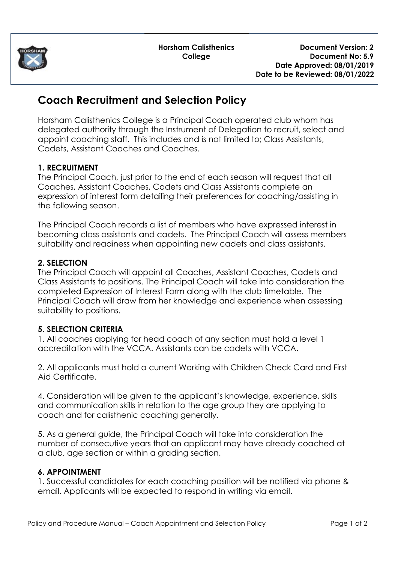

**Horsham Calisthenics College**

# **Coach Recruitment and Selection Policy**

Horsham Calisthenics College is a Principal Coach operated club whom has delegated authority through the Instrument of Delegation to recruit, select and appoint coaching staff. This includes and is not limited to; Class Assistants, Cadets, Assistant Coaches and Coaches.

### **1. RECRUITMENT**

The Principal Coach, just prior to the end of each season will request that all Coaches, Assistant Coaches, Cadets and Class Assistants complete an expression of interest form detailing their preferences for coaching/assisting in the following season.

The Principal Coach records a list of members who have expressed interest in becoming class assistants and cadets. The Principal Coach will assess members suitability and readiness when appointing new cadets and class assistants.

#### **2. SELECTION**

The Principal Coach will appoint all Coaches, Assistant Coaches, Cadets and Class Assistants to positions. The Principal Coach will take into consideration the completed Expression of Interest Form along with the club timetable. The Principal Coach will draw from her knowledge and experience when assessing suitability to positions.

### **5. SELECTION CRITERIA**

1. All coaches applying for head coach of any section must hold a level 1 accreditation with the VCCA. Assistants can be cadets with VCCA.

2. All applicants must hold a current Working with Children Check Card and First Aid Certificate.

4. Consideration will be given to the applicant's knowledge, experience, skills and communication skills in relation to the age group they are applying to coach and for calisthenic coaching generally.

5. As a general guide, the Principal Coach will take into consideration the number of consecutive years that an applicant may have already coached at a club, age section or within a grading section.

#### **6. APPOINTMENT**

1. Successful candidates for each coaching position will be notified via phone & email. Applicants will be expected to respond in writing via email.